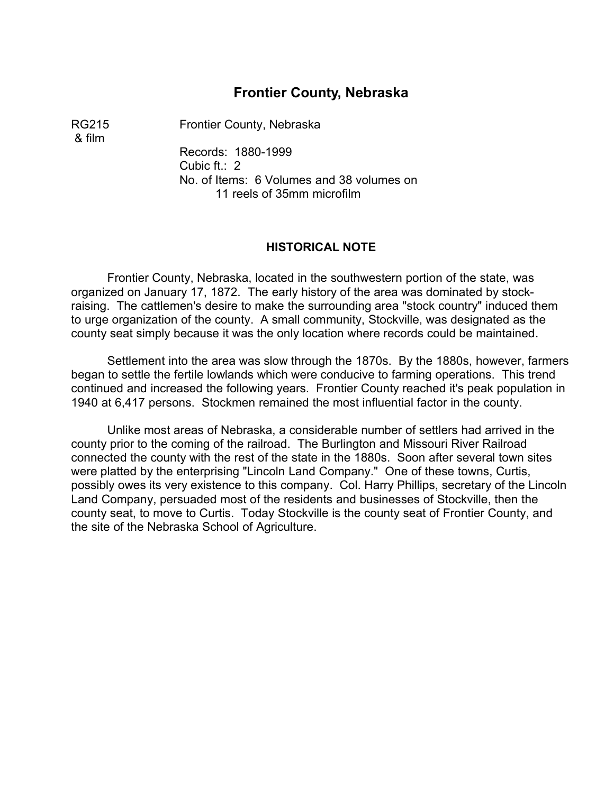# **Frontier County, Nebraska**

& film

RG215 Frontier County, Nebraska

Records: 1880-1999 Cubic ft.: 2 No. of Items: 6 Volumes and 38 volumes on 11 reels of 35mm microfilm

#### **HISTORICAL NOTE**

Frontier County, Nebraska, located in the southwestern portion of the state, was organized on January 17, 1872. The early history of the area was dominated by stockraising. The cattlemen's desire to make the surrounding area "stock country" induced them to urge organization of the county. A small community, Stockville, was designated as the county seat simply because it was the only location where records could be maintained.

Settlement into the area was slow through the 1870s. By the 1880s, however, farmers began to settle the fertile lowlands which were conducive to farming operations. This trend continued and increased the following years. Frontier County reached it's peak population in 1940 at 6,417 persons. Stockmen remained the most influential factor in the county.

Unlike most areas of Nebraska, a considerable number of settlers had arrived in the county prior to the coming of the railroad. The Burlington and Missouri River Railroad connected the county with the rest of the state in the 1880s. Soon after several town sites were platted by the enterprising "Lincoln Land Company." One of these towns, Curtis, possibly owes its very existence to this company. Col. Harry Phillips, secretary of the Lincoln Land Company, persuaded most of the residents and businesses of Stockville, then the county seat, to move to Curtis. Today Stockville is the county seat of Frontier County, and the site of the Nebraska School of Agriculture.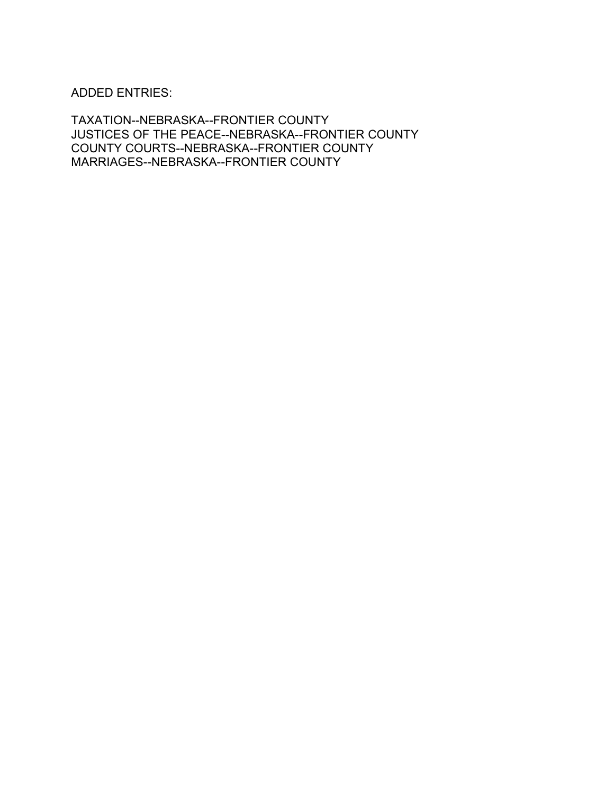ADDED ENTRIES:

TAXATION--NEBRASKA--FRONTIER COUNTY JUSTICES OF THE PEACE--NEBRASKA--FRONTIER COUNTY COUNTY COURTS--NEBRASKA--FRONTIER COUNTY MARRIAGES--NEBRASKA--FRONTIER COUNTY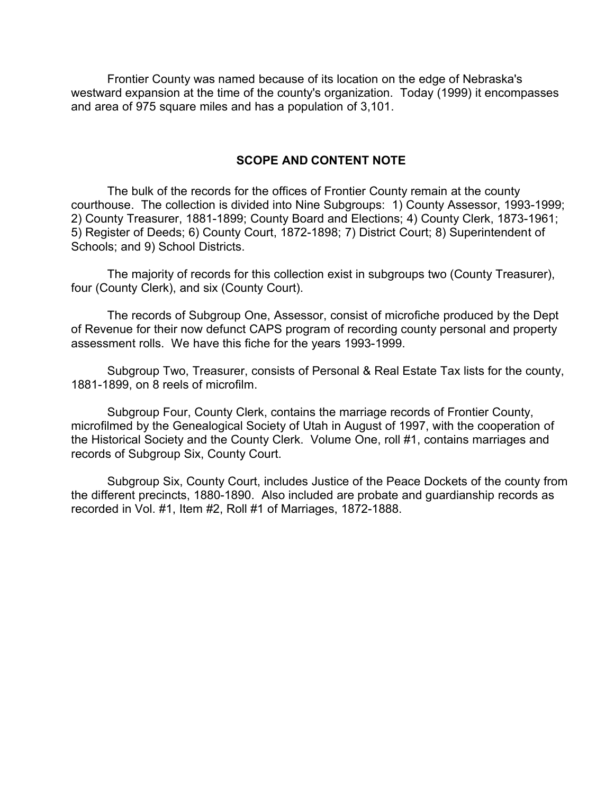Frontier County was named because of its location on the edge of Nebraska's westward expansion at the time of the county's organization. Today (1999) it encompasses and area of 975 square miles and has a population of 3,101.

## **SCOPE AND CONTENT NOTE**

The bulk of the records for the offices of Frontier County remain at the county courthouse. The collection is divided into Nine Subgroups: 1) County Assessor, 1993-1999; 2) County Treasurer, 1881-1899; County Board and Elections; 4) County Clerk, 1873-1961; 5) Register of Deeds; 6) County Court, 1872-1898; 7) District Court; 8) Superintendent of Schools; and 9) School Districts.

The majority of records for this collection exist in subgroups two (County Treasurer), four (County Clerk), and six (County Court).

The records of Subgroup One, Assessor, consist of microfiche produced by the Dept of Revenue for their now defunct CAPS program of recording county personal and property assessment rolls. We have this fiche for the years 1993-1999.

Subgroup Two, Treasurer, consists of Personal & Real Estate Tax lists for the county, 1881-1899, on 8 reels of microfilm.

Subgroup Four, County Clerk, contains the marriage records of Frontier County, microfilmed by the Genealogical Society of Utah in August of 1997, with the cooperation of the Historical Society and the County Clerk. Volume One, roll #1, contains marriages and records of Subgroup Six, County Court.

Subgroup Six, County Court, includes Justice of the Peace Dockets of the county from the different precincts, 1880-1890. Also included are probate and guardianship records as recorded in Vol. #1, Item #2, Roll #1 of Marriages, 1872-1888.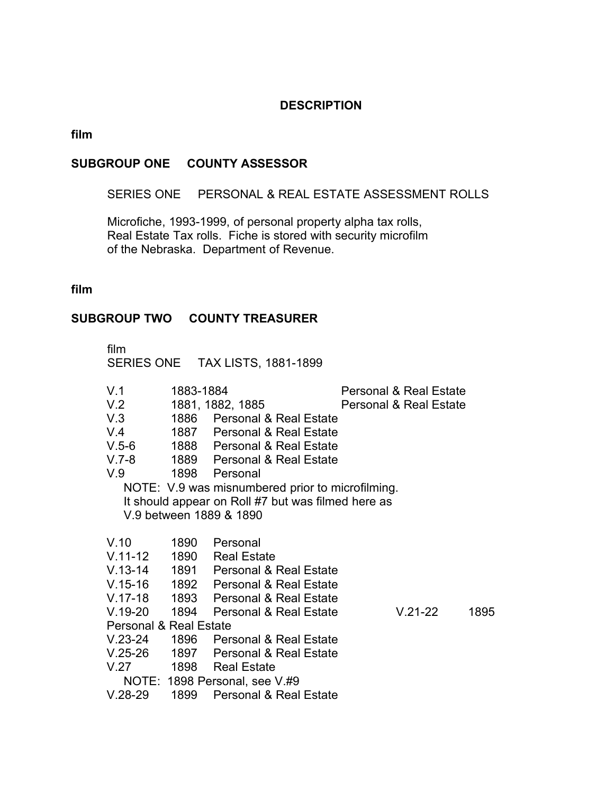### **DESCRIPTION**

# **film**

### **SUBGROUP ONE COUNTY ASSESSOR**

SERIES ONE PERSONAL & REAL ESTATE ASSESSMENT ROLLS

Microfiche, 1993-1999, of personal property alpha tax rolls, Real Estate Tax rolls. Fiche is stored with security microfilm of the Nebraska. Department of Revenue.

## **film**

# **SUBGROUP TWO COUNTY TREASURER**

| film                              |           | SERIES ONE TAX LISTS, 1881-1899                    |                                   |      |  |
|-----------------------------------|-----------|----------------------------------------------------|-----------------------------------|------|--|
| V.1                               | 1883-1884 |                                                    | <b>Personal &amp; Real Estate</b> |      |  |
| V.2                               |           | 1881, 1882, 1885                                   | <b>Personal &amp; Real Estate</b> |      |  |
| V.3                               |           | 1886 Personal & Real Estate                        |                                   |      |  |
| V.4                               |           | 1887 Personal & Real Estate                        |                                   |      |  |
|                                   |           | V.5-6 1888 Personal & Real Estate                  |                                   |      |  |
|                                   |           | V.7-8 1889 Personal & Real Estate                  |                                   |      |  |
| V.9 1898 Personal                 |           |                                                    |                                   |      |  |
|                                   |           | NOTE: V.9 was misnumbered prior to microfilming.   |                                   |      |  |
|                                   |           | It should appear on Roll #7 but was filmed here as |                                   |      |  |
|                                   |           | V.9 between 1889 & 1890                            |                                   |      |  |
|                                   |           |                                                    |                                   |      |  |
| V.10 1890 Personal                |           |                                                    |                                   |      |  |
|                                   |           | V.11-12 1890 Real Estate                           |                                   |      |  |
|                                   |           | V.13-14 1891 Personal & Real Estate                |                                   |      |  |
|                                   |           | V.15-16 1892 Personal & Real Estate                |                                   |      |  |
|                                   |           | V.17-18 1893 Personal & Real Estate                |                                   |      |  |
| V.19-20 1894                      |           | Personal & Real Estate                             | $V.21-22$                         | 1895 |  |
| <b>Personal &amp; Real Estate</b> |           |                                                    |                                   |      |  |
|                                   |           | V.23-24 1896 Personal & Real Estate                |                                   |      |  |
|                                   |           | V.25-26 1897 Personal & Real Estate                |                                   |      |  |
|                                   |           | V.27 1898 Real Estate                              |                                   |      |  |
| NOTE: 1898 Personal, see V.#9     |           |                                                    |                                   |      |  |
| $V.28-29$                         |           | 1899 Personal & Real Estate                        |                                   |      |  |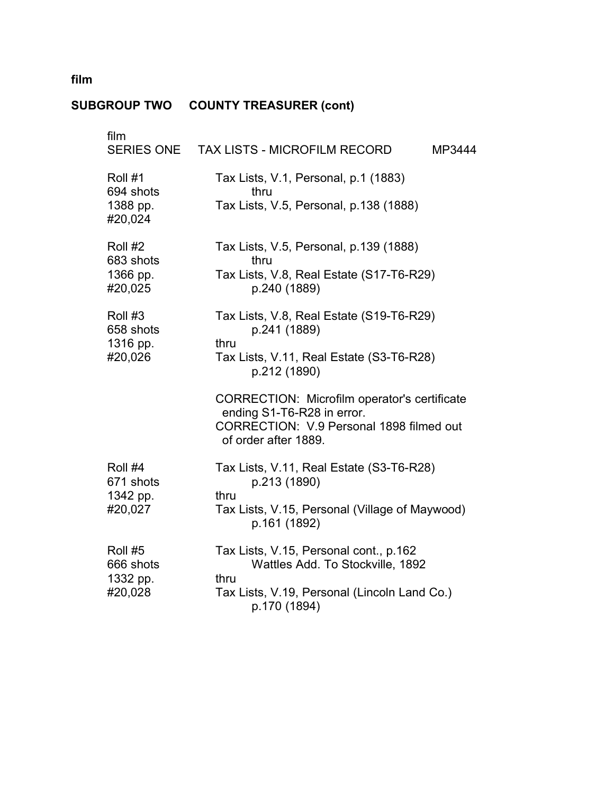#### **SUBGROUP TWO COUNTY TREASURER (cont)**

| film<br>SERIES ONE                          | TAX LISTS - MICROFILM RECORD<br>MP3444                                                                                                             |
|---------------------------------------------|----------------------------------------------------------------------------------------------------------------------------------------------------|
| Roll #1<br>694 shots<br>1388 pp.<br>#20,024 | Tax Lists, V.1, Personal, p.1 (1883)<br>thru<br>Tax Lists, V.5, Personal, p.138 (1888)                                                             |
| Roll #2<br>683 shots<br>1366 pp.<br>#20,025 | Tax Lists, V.5, Personal, p.139 (1888)<br>thru<br>Tax Lists, V.8, Real Estate (S17-T6-R29)<br>p.240 (1889)                                         |
| Roll #3<br>658 shots<br>1316 pp.<br>#20,026 | Tax Lists, V.8, Real Estate (S19-T6-R29)<br>p.241 (1889)<br>thru<br>Tax Lists, V.11, Real Estate (S3-T6-R28)<br>p.212 (1890)                       |
|                                             | CORRECTION: Microfilm operator's certificate<br>ending S1-T6-R28 in error.<br>CORRECTION: V.9 Personal 1898 filmed out<br>of order after 1889.     |
| Roll #4<br>671 shots<br>1342 pp.<br>#20,027 | Tax Lists, V.11, Real Estate (S3-T6-R28)<br>p.213 (1890)<br>thru<br>Tax Lists, V.15, Personal (Village of Maywood)<br>p.161 (1892)                 |
| Roll #5<br>666 shots<br>1332 pp.<br>#20,028 | Tax Lists, V.15, Personal cont., p.162<br>Wattles Add. To Stockville, 1892<br>thru<br>Tax Lists, V.19, Personal (Lincoln Land Co.)<br>p.170 (1894) |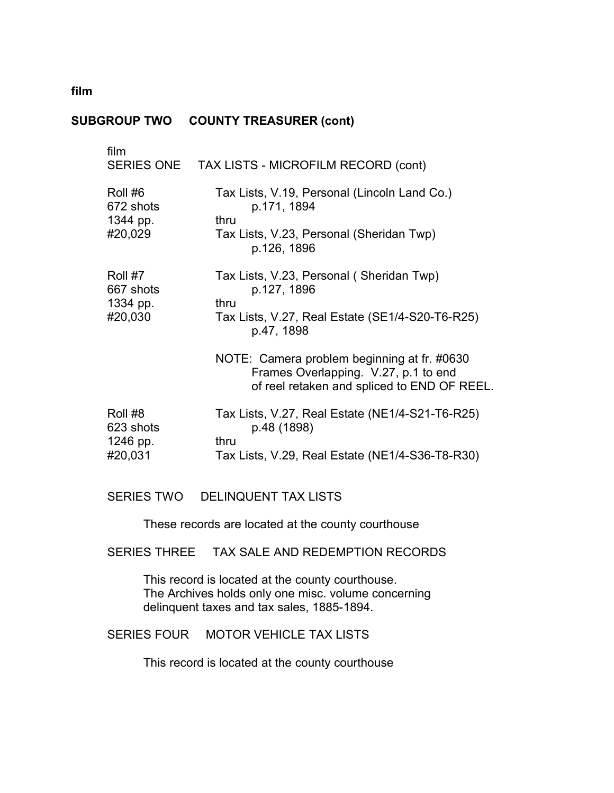# **SUBGROUP TWO COUNTY TREASURER (cont)**

| film                                        | SERIES ONE TAX LISTS - MICROFILM RECORD (cont)                                                                                     |
|---------------------------------------------|------------------------------------------------------------------------------------------------------------------------------------|
| Roll #6<br>672 shots<br>1344 pp.<br>#20,029 | Tax Lists, V.19, Personal (Lincoln Land Co.)<br>p.171, 1894<br>thru<br>Tax Lists, V.23, Personal (Sheridan Twp)<br>p.126, 1896     |
| Roll #7<br>667 shots<br>1334 pp.<br>#20,030 | Tax Lists, V.23, Personal (Sheridan Twp)<br>p.127, 1896<br>thru<br>Tax Lists, V.27, Real Estate (SE1/4-S20-T6-R25)<br>p.47, 1898   |
|                                             | NOTE: Camera problem beginning at fr. #0630<br>Frames Overlapping. V.27, p.1 to end<br>of reel retaken and spliced to END OF REEL. |
| Roll #8<br>623 shots<br>1246 pp.<br>#20,031 | Tax Lists, V.27, Real Estate (NE1/4-S21-T6-R25)<br>p.48 (1898)<br>thru<br>Tax Lists, V.29, Real Estate (NE1/4-S36-T8-R30)          |
|                                             |                                                                                                                                    |

# SERIES TWO DELINQUENT TAX LISTS

These records are located at the county courthouse

# SERIES THREE TAX SALE AND REDEMPTION RECORDS

This record is located at the county courthouse. � The Archives holds only one misc. volume concerning delinquent taxes and tax sales, 1885-1894.

# SERIES FOUR MOTOR VEHICLE TAX LISTS

This record is located at the county courthouse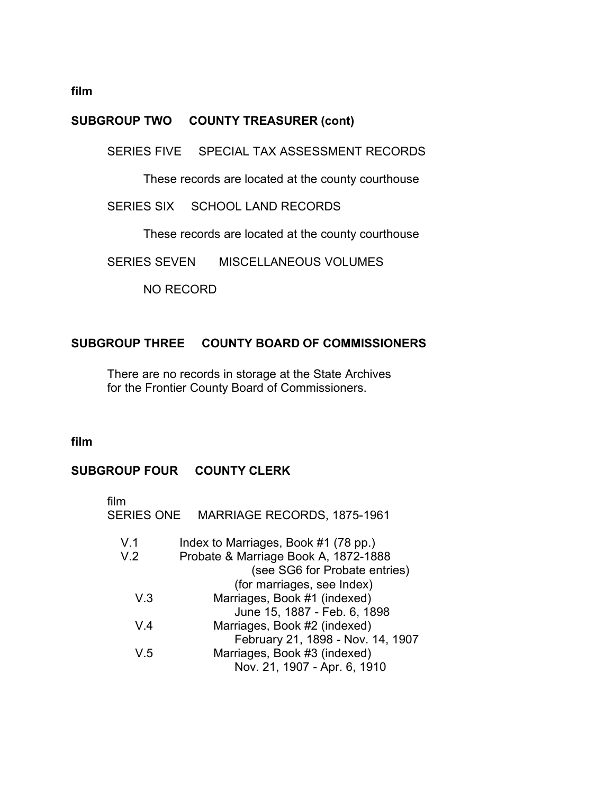# **SUBGROUP TWO COUNTY TREASURER (cont)**

SERIES FIVE SPECIAL TAX ASSESSMENT RECORDS

These records are located at the county courthouse

SERIES SIX SCHOOL LAND RECORDS

These records are located at the county courthouse

SERIES SEVEN MISCELLANEOUS VOLUMES

NO RECORD

# **SUBGROUP THREE COUNTY BOARD OF COMMISSIONERS**

There are no records in storage at the State Archives for the Frontier County Board of Commissioners.

## **film**

# **SUBGROUP FOUR COUNTY CLERK**

| film<br><b>SERIES ONE</b> | <b>MARRIAGE RECORDS, 1875-1961</b>   |
|---------------------------|--------------------------------------|
| V.1                       | Index to Marriages, Book #1 (78 pp.) |
| V.2                       | Probate & Marriage Book A, 1872-1888 |
|                           | (see SG6 for Probate entries)        |
|                           | (for marriages, see Index)           |
| V.3                       | Marriages, Book #1 (indexed)         |
|                           | June 15, 1887 - Feb. 6, 1898         |
| V 4                       | Marriages, Book #2 (indexed)         |
|                           | February 21, 1898 - Nov. 14, 1907    |
| V 5                       | Marriages, Book #3 (indexed)         |
|                           | Nov. 21, 1907 - Apr. 6, 1910         |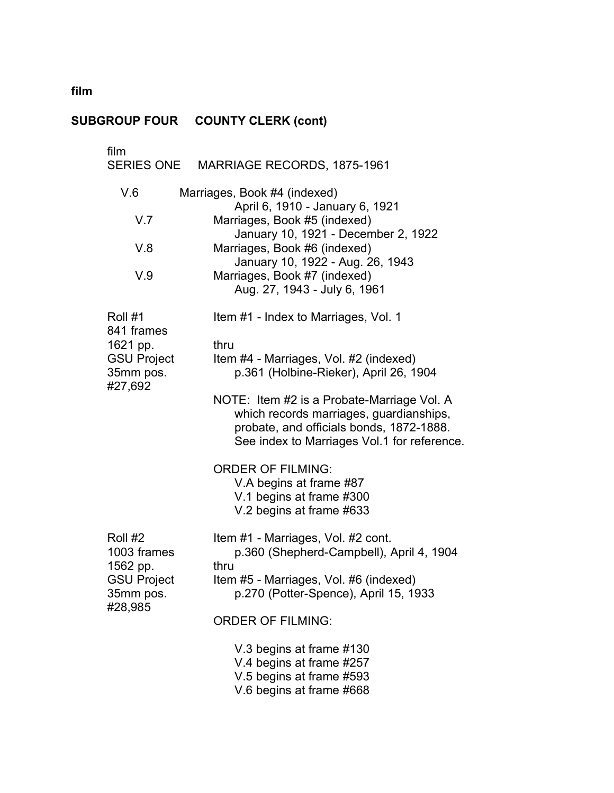#### **SUBGROUP FOUR COUNTY CLERK (cont)**

film SERIES ONE MARRIAGE RECORDS, 1875-1961 V.6 Marriages, Book #4 (indexed) April 6, 1910 - January 6, 1921 V.7 Marriages, Book #5 (indexed) January 10, 1921 - December 2, 1922 V.8 Marriages, Book #6 (indexed) January 10, 1922 - Aug. 26, 1943 V.9 Marriages, Book #7 (indexed) Aug. 27, 1943 - July 6, 1961 Roll #1 Item #1 - Index to Marriages, Vol. 1 841 frames 1621 pp. thru GSU Project Item #4 - Marriages, Vol. #2 (indexed) 35mm pos. p.361 (Holbine-Rieker), April 26, 1904 #27,692 NOTE: Item #2 is a Probate-Marriage Vol. A which records marriages, guardianships, probate, and officials bonds, 1872-1888. See index to Marriages Vol.1 for reference. ORDER OF FILMING: V.A begins at frame #87 V.1 begins at frame #300 V.2 begins at frame #633 Roll #2 Item #1 - Marriages, Vol. #2 cont. 1003 frames p.360 (Shepherd-Campbell), April 4, 1904 1562 pp. thru GSU Project Item #5 - Marriages, Vol. #6 (indexed) 35mm pos. p.270 (Potter-Spence), April 15, 1933 #28,985 ORDER OF FILMING: V.3 begins at frame #130 V.4 begins at frame #257 V.5 begins at frame #593 V.6 begins at frame #668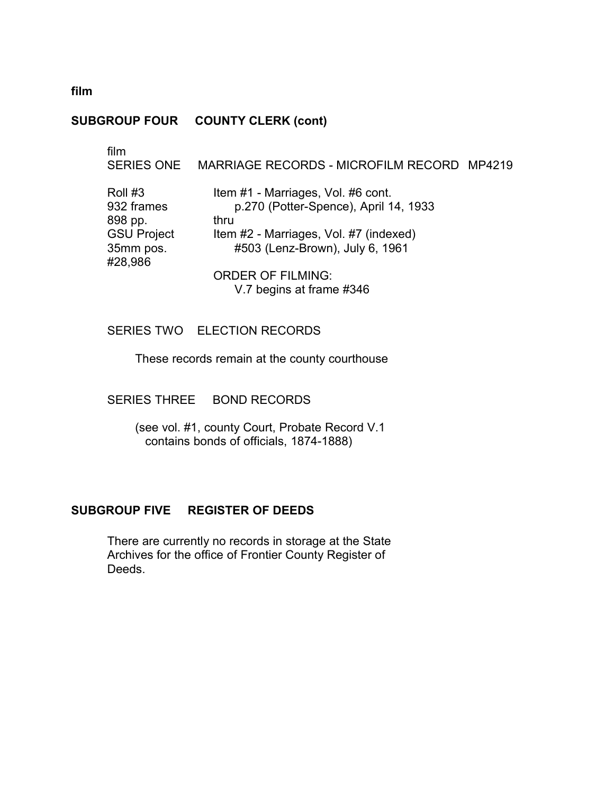### **SUBGROUP FOUR COUNTY CLERK (cont)**

film

## SERIES ONE MARRIAGE RECORDS - MICROFILM RECORD MP4219

| Roll #3            | Item #1 - Marriages, Vol. #6 cont.     |
|--------------------|----------------------------------------|
| 932 frames         | p.270 (Potter-Spence), April 14, 1933  |
| 898 pp.            | thru                                   |
| <b>GSU Project</b> | Item #2 - Marriages, Vol. #7 (indexed) |
| 35mm pos.          | #503 (Lenz-Brown), July 6, 1961        |
| #28,986            |                                        |

ORDER OF FILMING: V.7 begins at frame #346

## SERIES TWO ELECTION RECORDS

These records remain at the county courthouse

### SERIES THREE BOND RECORDS

(see vol. #1, county Court, Probate Record V.1 contains bonds of officials, 1874-1888)

### **SUBGROUP FIVE REGISTER OF DEEDS**

There are currently no records in storage at the State Archives for the office of Frontier County Register of � Deeds.